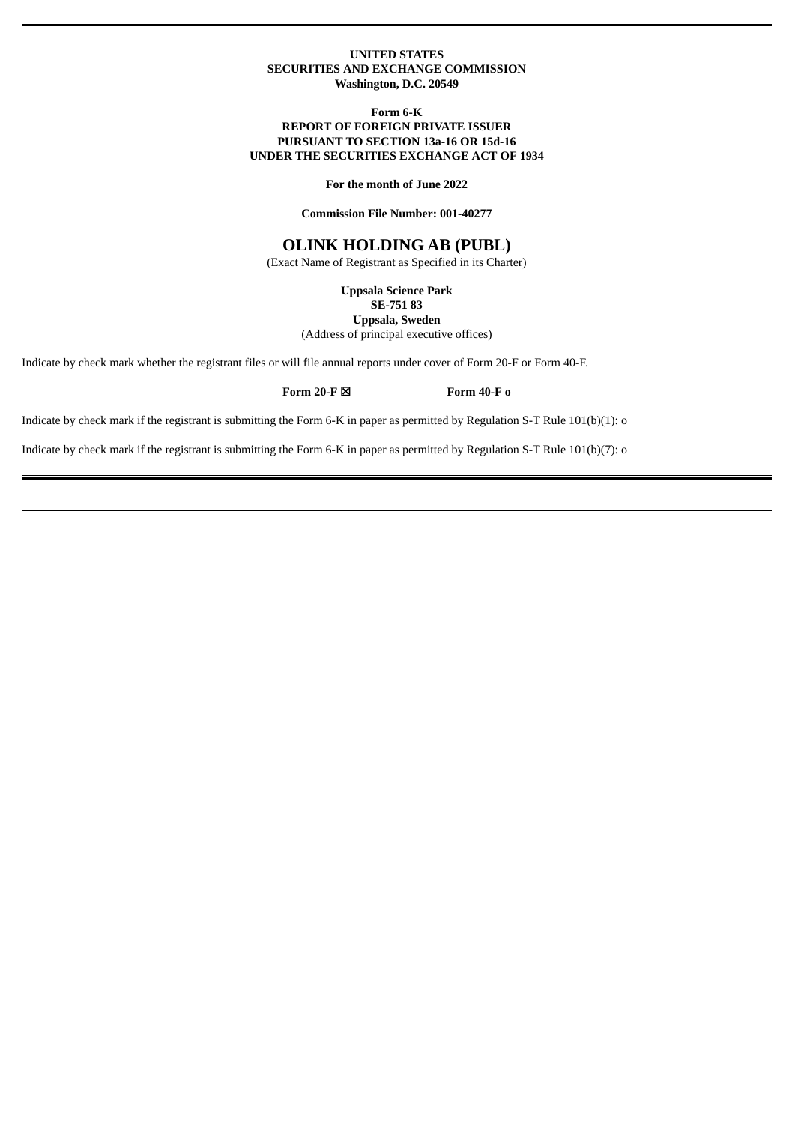### **UNITED STATES SECURITIES AND EXCHANGE COMMISSION Washington, D.C. 20549**

**Form 6-K**

## **REPORT OF FOREIGN PRIVATE ISSUER PURSUANT TO SECTION 13a-16 OR 15d-16 UNDER THE SECURITIES EXCHANGE ACT OF 1934**

**For the month of June 2022**

**Commission File Number: 001-40277**

# **OLINK HOLDING AB (PUBL)**

(Exact Name of Registrant as Specified in its Charter)

**Uppsala Science Park**

**SE-751 83**

**Uppsala, Sweden** (Address of principal executive offices)

Indicate by check mark whether the registrant files or will file annual reports under cover of Form 20-F or Form 40-F.

**Form 20-F** ☒ **Form 40-F o**

Indicate by check mark if the registrant is submitting the Form 6-K in paper as permitted by Regulation S-T Rule 101(b)(1): o

Indicate by check mark if the registrant is submitting the Form 6-K in paper as permitted by Regulation S-T Rule 101(b)(7): o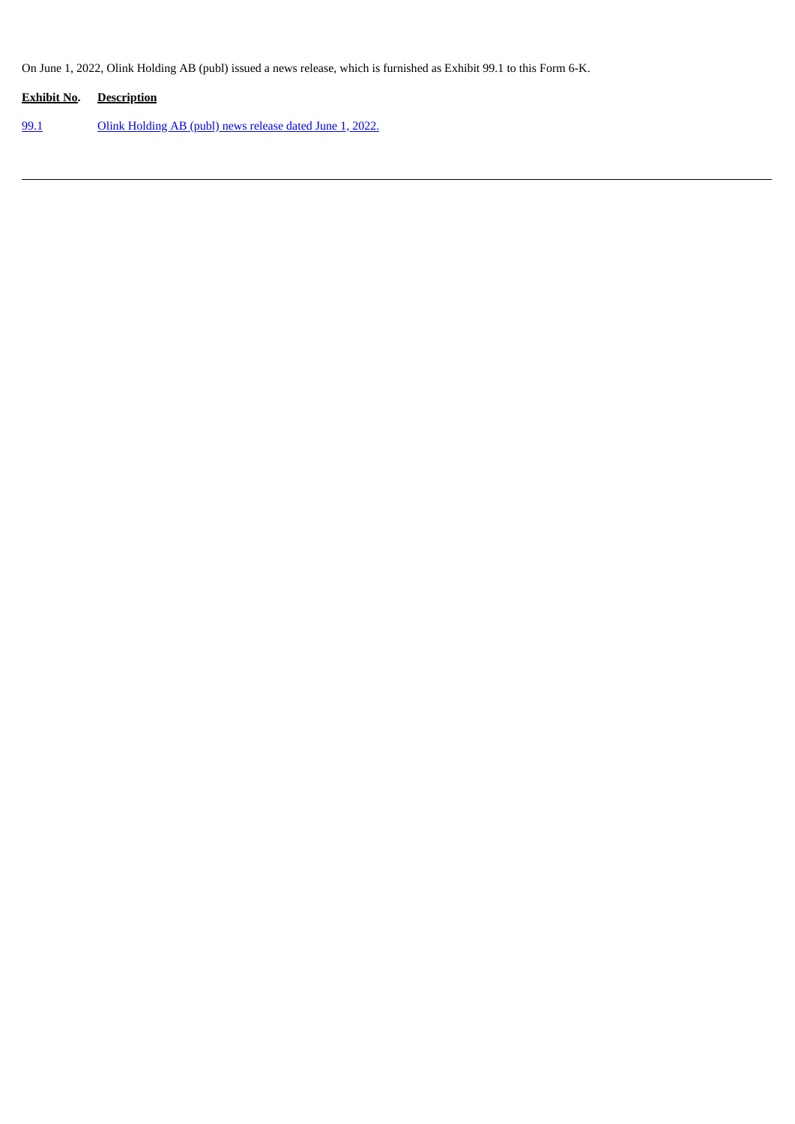On June 1, 2022, Olink Holding AB (publ) issued a news release, which is furnished as Exhibit 99.1 to this Form 6-K.

| <b>Exhibit No. Description</b> |                                                                 |
|--------------------------------|-----------------------------------------------------------------|
| 99.1                           | <u>Olink Holding AB (publ) news release dated June 1, 2022.</u> |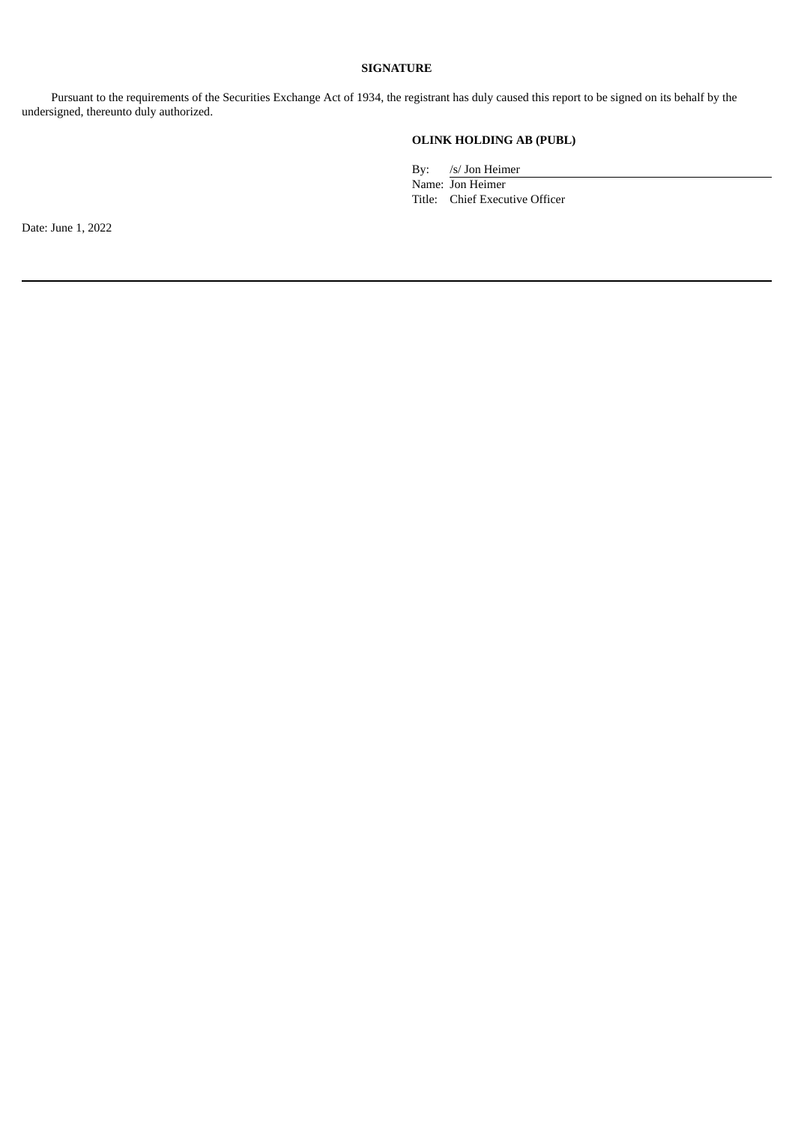## **SIGNATURE**

Pursuant to the requirements of the Securities Exchange Act of 1934, the registrant has duly caused this report to be signed on its behalf by the undersigned, thereunto duly authorized.

## **OLINK HOLDING AB (PUBL)**

By: /s/ Jon Heimer

Name: Jon Heimer Title: Chief Executive Officer

Date: June 1, 2022